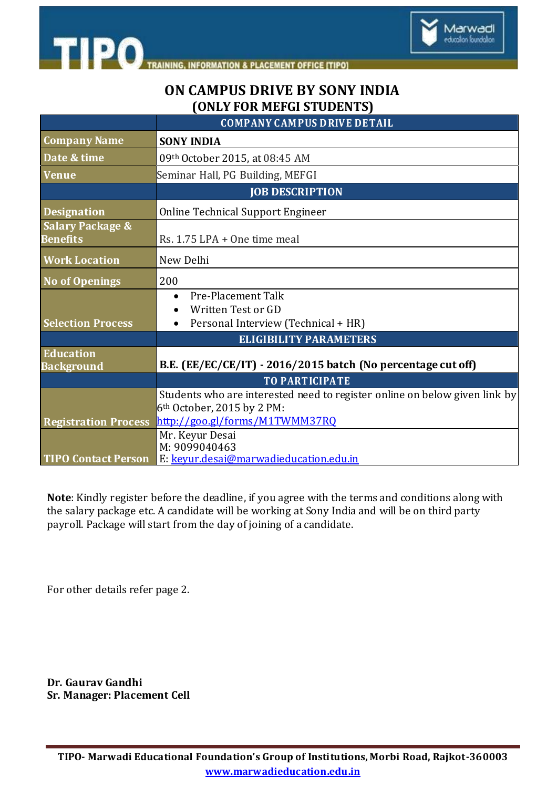

## **ON CAMPUS DRIVE BY SONY INDIA (ONLY FOR MEFGI STUDENTS)**

Marwadi education foundation

|                                                | <b>COMPANY CAMPUS DRIVE DETAIL</b>                                                                                   |
|------------------------------------------------|----------------------------------------------------------------------------------------------------------------------|
| <b>Company Name</b>                            | <b>SONY INDIA</b>                                                                                                    |
| Date & time                                    | 09th October 2015, at 08:45 AM                                                                                       |
| <b>Venue</b>                                   | Seminar Hall, PG Building, MEFGI                                                                                     |
|                                                | <b>JOB DESCRIPTION</b>                                                                                               |
| <b>Designation</b>                             | <b>Online Technical Support Engineer</b>                                                                             |
| <b>Salary Package &amp;</b><br><b>Benefits</b> | Rs. $1.75$ LPA + One time meal                                                                                       |
| <b>Work Location</b>                           | New Delhi                                                                                                            |
| <b>No of Openings</b>                          | 200                                                                                                                  |
| <b>Selection Process</b>                       | <b>Pre-Placement Talk</b><br>$\bullet$<br>Written Test or GD<br>Personal Interview (Technical + HR)                  |
|                                                | <b>ELIGIBILITY PARAMETERS</b>                                                                                        |
| Education<br><b>Background</b>                 | B.E. (EE/EC/CE/IT) - 2016/2015 batch (No percentage cut off)                                                         |
|                                                | <b>TO PARTICIPATE</b>                                                                                                |
|                                                | Students who are interested need to register online on below given link by<br>6 <sup>th</sup> October, 2015 by 2 PM: |
| <b>Registration Process</b>                    | http://goo.gl/forms/M1TWMM37RQ                                                                                       |
|                                                | Mr. Keyur Desai<br>M: 9099040463                                                                                     |
| <b>TIPO Contact Person</b>                     | E: keyur.desai@marwadieducation.edu.in                                                                               |

**Note**: Kindly register before the deadline, if you agree with the terms and conditions along with the salary package etc. A candidate will be working at Sony India and will be on third party payroll. Package will start from the day of joining of a candidate.

For other details refer page 2.

**Dr. Gaurav Gandhi Sr. Manager: Placement Cell**

**TIPO- Marwadi Educational Foundation's Group of Institutions, Morbi Road, Rajkot-360003 www.marwadieducation.edu.in**